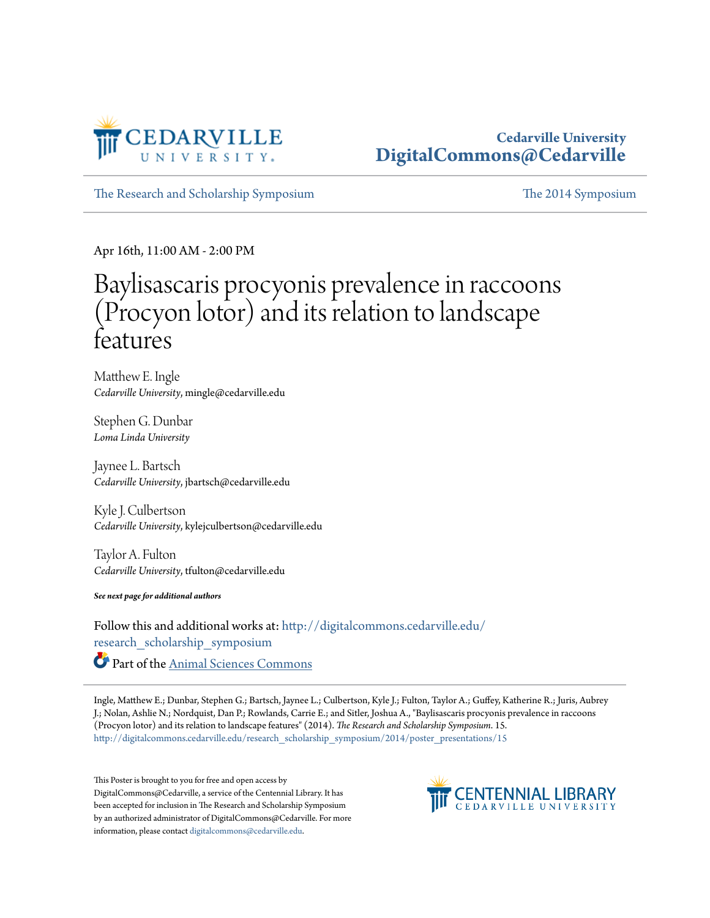

#### **Cedarville University [DigitalCommons@Cedarville](http://digitalcommons.cedarville.edu?utm_source=digitalcommons.cedarville.edu%2Fresearch_scholarship_symposium%2F2014%2Fposter_presentations%2F15&utm_medium=PDF&utm_campaign=PDFCoverPages)**

[The Research and Scholarship Symposium](http://digitalcommons.cedarville.edu/research_scholarship_symposium?utm_source=digitalcommons.cedarville.edu%2Fresearch_scholarship_symposium%2F2014%2Fposter_presentations%2F15&utm_medium=PDF&utm_campaign=PDFCoverPages) [The 2014 Symposium](http://digitalcommons.cedarville.edu/research_scholarship_symposium/2014?utm_source=digitalcommons.cedarville.edu%2Fresearch_scholarship_symposium%2F2014%2Fposter_presentations%2F15&utm_medium=PDF&utm_campaign=PDFCoverPages)

Apr 16th, 11:00 AM - 2:00 PM

#### Baylisascaris procyonis prevalence in raccoons (Procyon lotor) and its relation to landscape features

Matthew E. Ingle *Cedarville University*, mingle@cedarville.edu

Stephen G. Dunbar *Loma Linda University*

Jaynee L. Bartsch *Cedarville University*, jbartsch@cedarville.edu

Kyle J. Culbertson *Cedarville University*, kylejculbertson@cedarville.edu

Taylor A. Fulton *Cedarville University*, tfulton@cedarville.edu

*See next page for additional authors*

Follow this and additional works at: [http://digitalcommons.cedarville.edu/](http://digitalcommons.cedarville.edu/research_scholarship_symposium?utm_source=digitalcommons.cedarville.edu%2Fresearch_scholarship_symposium%2F2014%2Fposter_presentations%2F15&utm_medium=PDF&utm_campaign=PDFCoverPages) [research\\_scholarship\\_symposium](http://digitalcommons.cedarville.edu/research_scholarship_symposium?utm_source=digitalcommons.cedarville.edu%2Fresearch_scholarship_symposium%2F2014%2Fposter_presentations%2F15&utm_medium=PDF&utm_campaign=PDFCoverPages) Part of the [Animal Sciences Commons](http://network.bepress.com/hgg/discipline/76?utm_source=digitalcommons.cedarville.edu%2Fresearch_scholarship_symposium%2F2014%2Fposter_presentations%2F15&utm_medium=PDF&utm_campaign=PDFCoverPages)

Ingle, Matthew E.; Dunbar, Stephen G.; Bartsch, Jaynee L.; Culbertson, Kyle J.; Fulton, Taylor A.; Guffey, Katherine R.; Juris, Aubrey J.; Nolan, Ashlie N.; Nordquist, Dan P.; Rowlands, Carrie E.; and Sitler, Joshua A., "Baylisascaris procyonis prevalence in raccoons (Procyon lotor) and its relation to landscape features" (2014). *The Research and Scholarship Symposium*. 15. [http://digitalcommons.cedarville.edu/research\\_scholarship\\_symposium/2014/poster\\_presentations/15](http://digitalcommons.cedarville.edu/research_scholarship_symposium/2014/poster_presentations/15?utm_source=digitalcommons.cedarville.edu%2Fresearch_scholarship_symposium%2F2014%2Fposter_presentations%2F15&utm_medium=PDF&utm_campaign=PDFCoverPages)

This Poster is brought to you for free and open access by DigitalCommons@Cedarville, a service of the Centennial Library. It has been accepted for inclusion in The Research and Scholarship Symposium by an authorized administrator of DigitalCommons@Cedarville. For more information, please contact [digitalcommons@cedarville.edu.](mailto:digitalcommons@cedarville.edu)

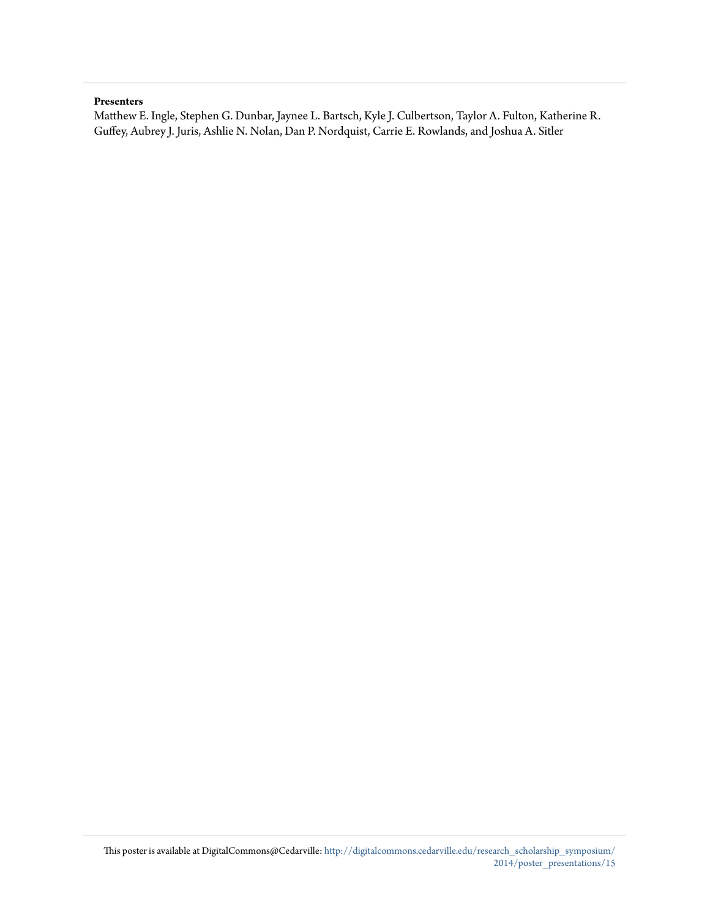#### **Presenters**

Matthew E. Ingle, Stephen G. Dunbar, Jaynee L. Bartsch, Kyle J. Culbertson, Taylor A. Fulton, Katherine R. Guffey, Aubrey J. Juris, Ashlie N. Nolan, Dan P. Nordquist, Carrie E. Rowlands, and Joshua A. Sitler